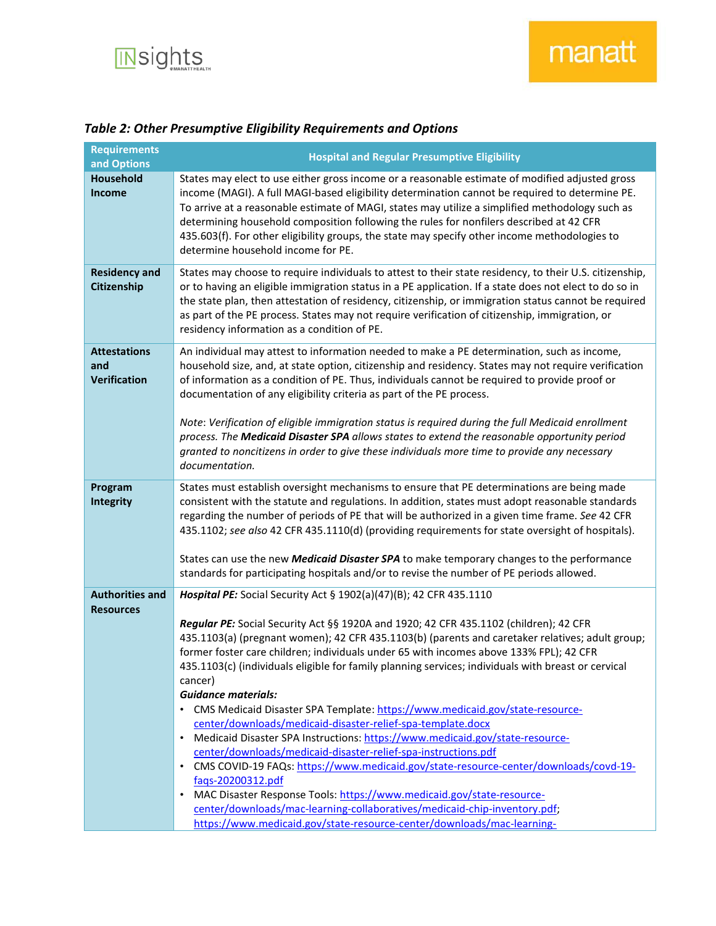

| <b>Requirements</b><br>and Options                | <b>Hospital and Regular Presumptive Eligibility</b>                                                                                                                                                                                                                                                                                                                                                                                                                                                                                                                                                                                                                                                                                                                                                                                                                                                                                                                                                                                                                                                                                                                                  |
|---------------------------------------------------|--------------------------------------------------------------------------------------------------------------------------------------------------------------------------------------------------------------------------------------------------------------------------------------------------------------------------------------------------------------------------------------------------------------------------------------------------------------------------------------------------------------------------------------------------------------------------------------------------------------------------------------------------------------------------------------------------------------------------------------------------------------------------------------------------------------------------------------------------------------------------------------------------------------------------------------------------------------------------------------------------------------------------------------------------------------------------------------------------------------------------------------------------------------------------------------|
| Household<br>Income                               | States may elect to use either gross income or a reasonable estimate of modified adjusted gross<br>income (MAGI). A full MAGI-based eligibility determination cannot be required to determine PE.<br>To arrive at a reasonable estimate of MAGI, states may utilize a simplified methodology such as<br>determining household composition following the rules for nonfilers described at 42 CFR<br>435.603(f). For other eligibility groups, the state may specify other income methodologies to<br>determine household income for PE.                                                                                                                                                                                                                                                                                                                                                                                                                                                                                                                                                                                                                                               |
| <b>Residency and</b><br>Citizenship               | States may choose to require individuals to attest to their state residency, to their U.S. citizenship,<br>or to having an eligible immigration status in a PE application. If a state does not elect to do so in<br>the state plan, then attestation of residency, citizenship, or immigration status cannot be required<br>as part of the PE process. States may not require verification of citizenship, immigration, or<br>residency information as a condition of PE.                                                                                                                                                                                                                                                                                                                                                                                                                                                                                                                                                                                                                                                                                                           |
| <b>Attestations</b><br>and<br><b>Verification</b> | An individual may attest to information needed to make a PE determination, such as income,<br>household size, and, at state option, citizenship and residency. States may not require verification<br>of information as a condition of PE. Thus, individuals cannot be required to provide proof or<br>documentation of any eligibility criteria as part of the PE process.<br>Note: Verification of eligible immigration status is required during the full Medicaid enrollment<br>process. The Medicaid Disaster SPA allows states to extend the reasonable opportunity period<br>granted to noncitizens in order to give these individuals more time to provide any necessary<br>documentation.                                                                                                                                                                                                                                                                                                                                                                                                                                                                                   |
| Program<br><b>Integrity</b>                       | States must establish oversight mechanisms to ensure that PE determinations are being made<br>consistent with the statute and regulations. In addition, states must adopt reasonable standards<br>regarding the number of periods of PE that will be authorized in a given time frame. See 42 CFR<br>435.1102; see also 42 CFR 435.1110(d) (providing requirements for state oversight of hospitals).<br>States can use the new Medicaid Disaster SPA to make temporary changes to the performance<br>standards for participating hospitals and/or to revise the number of PE periods allowed.                                                                                                                                                                                                                                                                                                                                                                                                                                                                                                                                                                                       |
| <b>Authorities and</b><br><b>Resources</b>        | Hospital PE: Social Security Act § 1902(a)(47)(B); 42 CFR 435.1110<br>Regular PE: Social Security Act §§ 1920A and 1920; 42 CFR 435.1102 (children); 42 CFR<br>435.1103(a) (pregnant women); 42 CFR 435.1103(b) (parents and caretaker relatives; adult group;<br>former foster care children; individuals under 65 with incomes above 133% FPL); 42 CFR<br>435.1103(c) (individuals eligible for family planning services; individuals with breast or cervical<br>cancer)<br><b>Guidance materials:</b><br>• CMS Medicaid Disaster SPA Template: https://www.medicaid.gov/state-resource-<br>center/downloads/medicaid-disaster-relief-spa-template.docx<br>Medicaid Disaster SPA Instructions: https://www.medicaid.gov/state-resource-<br>$\bullet$<br>center/downloads/medicaid-disaster-relief-spa-instructions.pdf<br>• CMS COVID-19 FAQs: https://www.medicaid.gov/state-resource-center/downloads/covd-19-<br>faqs-20200312.pdf<br>MAC Disaster Response Tools: https://www.medicaid.gov/state-resource-<br>$\bullet$<br>center/downloads/mac-learning-collaboratives/medicaid-chip-inventory.pdf;<br>https://www.medicaid.gov/state-resource-center/downloads/mac-learning- |

## *Table 2: Other Presumptive Eligibility Requirements and Options*